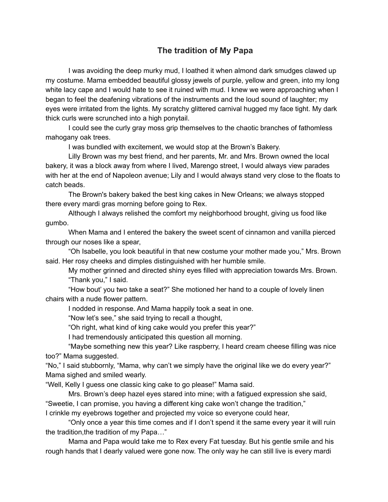## **The tradition of My Papa**

I was avoiding the deep murky mud, I loathed it when almond dark smudges clawed up my costume. Mama embedded beautiful glossy jewels of purple, yellow and green, into my long white lacy cape and I would hate to see it ruined with mud. I knew we were approaching when I began to feel the deafening vibrations of the instruments and the loud sound of laughter; my eyes were irritated from the lights. My scratchy glittered carnival hugged my face tight. My dark thick curls were scrunched into a high ponytail.

I could see the curly gray moss grip themselves to the chaotic branches of fathomless mahogany oak trees.

I was bundled with excitement, we would stop at the Brown's Bakery.

Lilly Brown was my best friend, and her parents, Mr. and Mrs. Brown owned the local bakery, it was a block away from where I lived, Marengo street, I would always view parades with her at the end of Napoleon avenue; Lily and I would always stand very close to the floats to catch beads.

The Brown's bakery baked the best king cakes in New Orleans; we always stopped there every mardi gras morning before going to Rex.

Although I always relished the comfort my neighborhood brought, giving us food like gumbo.

When Mama and I entered the bakery the sweet scent of cinnamon and vanilla pierced through our noses like a spear,

"Oh Isabelle, you look beautiful in that new costume your mother made you," Mrs. Brown said. Her rosy cheeks and dimples distinguished with her humble smile.

My mother grinned and directed shiny eyes filled with appreciation towards Mrs. Brown. "Thank you," I said.

"How bout' you two take a seat?" She motioned her hand to a couple of lovely linen chairs with a nude flower pattern.

I nodded in response. And Mama happily took a seat in one.

"Now let's see," she said trying to recall a thought,

"Oh right, what kind of king cake would you prefer this year?"

I had tremendously anticipated this question all morning.

"Maybe something new this year? Like raspberry, I heard cream cheese filling was nice too?" Mama suggested.

"No," I said stubbornly, "Mama, why can't we simply have the original like we do every year?" Mama sighed and smiled wearly.

"Well, Kelly I guess one classic king cake to go please!" Mama said.

Mrs. Brown's deep hazel eyes stared into mine; with a fatigued expression she said, "Sweetie, I can promise, you having a different king cake won't change the tradition,"

I crinkle my eyebrows together and projected my voice so everyone could hear,

"Only once a year this time comes and if I don't spend it the same every year it will ruin the tradition,the tradition of my Papa…"

Mama and Papa would take me to Rex every Fat tuesday. But his gentle smile and his rough hands that I dearly valued were gone now. The only way he can still live is every mardi